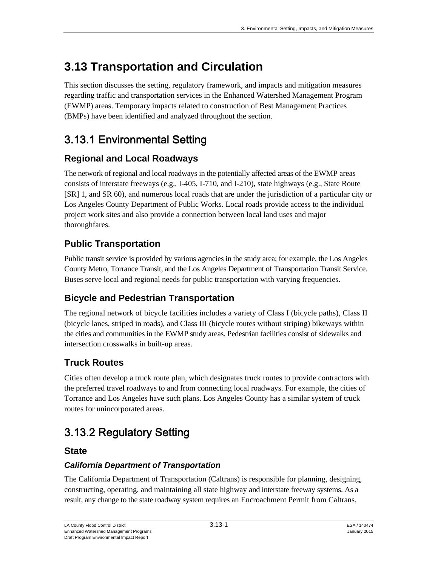# **3.13 Transportation and Circulation**

This section discusses the setting, regulatory framework, and impacts and mitigation measures regarding traffic and transportation services in the Enhanced Watershed Management Program (EWMP) areas. Temporary impacts related to construction of Best Management Practices (BMPs) have been identified and analyzed throughout the section.

# 3.13.1 Environmental Setting

## **Regional and Local Roadways**

The network of regional and local roadways in the potentially affected areas of the EWMP areas consists of interstate freeways (e.g., I-405, I-710, and I-210), state highways (e.g., State Route [SR] 1, and SR 60), and numerous local roads that are under the jurisdiction of a particular city or Los Angeles County Department of Public Works. Local roads provide access to the individual project work sites and also provide a connection between local land uses and major thoroughfares.

## **Public Transportation**

Public transit service is provided by various agencies in the study area; for example, the Los Angeles County Metro, Torrance Transit, and the Los Angeles Department of Transportation Transit Service. Buses serve local and regional needs for public transportation with varying frequencies.

# **Bicycle and Pedestrian Transportation**

The regional network of bicycle facilities includes a variety of Class I (bicycle paths), Class II (bicycle lanes, striped in roads), and Class III (bicycle routes without striping) bikeways within the cities and communities in the EWMP study areas. Pedestrian facilities consist of sidewalks and intersection crosswalks in built-up areas.

## **Truck Routes**

Cities often develop a truck route plan, which designates truck routes to provide contractors with the preferred travel roadways to and from connecting local roadways. For example, the cities of Torrance and Los Angeles have such plans. Los Angeles County has a similar system of truck routes for unincorporated areas.

# 3.13.2 Regulatory Setting

### **State**

### *California Department of Transportation*

The California Department of Transportation (Caltrans) is responsible for planning, designing, constructing, operating, and maintaining all state highway and interstate freeway systems. As a result, any change to the state roadway system requires an Encroachment Permit from Caltrans.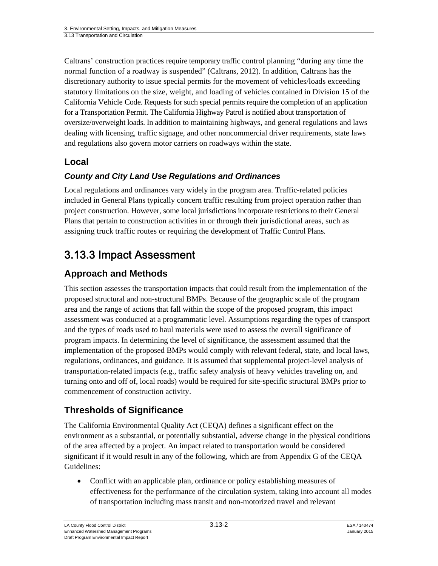Caltrans' construction practices require temporary traffic control planning "during any time the normal function of a roadway is suspended" (Caltrans, 2012). In addition, Caltrans has the discretionary authority to issue special permits for the movement of vehicles/loads exceeding statutory limitations on the size, weight, and loading of vehicles contained in Division 15 of the California Vehicle Code. Requests for such special permits require the completion of an application for a Transportation Permit. The California Highway Patrol is notified about transportation of oversize/overweight loads. In addition to maintaining highways, and general regulations and laws dealing with licensing, traffic signage, and other noncommercial driver requirements, state laws and regulations also govern motor carriers on roadways within the state.

## **Local**

### *County and City Land Use Regulations and Ordinances*

Local regulations and ordinances vary widely in the program area. Traffic-related policies included in General Plans typically concern traffic resulting from project operation rather than project construction. However, some local jurisdictions incorporate restrictions to their General Plans that pertain to construction activities in or through their jurisdictional areas, such as assigning truck traffic routes or requiring the development of Traffic Control Plans.

# 3.13.3 Impact Assessment

## **Approach and Methods**

This section assesses the transportation impacts that could result from the implementation of the proposed structural and non-structural BMPs. Because of the geographic scale of the program area and the range of actions that fall within the scope of the proposed program, this impact assessment was conducted at a programmatic level. Assumptions regarding the types of transport and the types of roads used to haul materials were used to assess the overall significance of program impacts. In determining the level of significance, the assessment assumed that the implementation of the proposed BMPs would comply with relevant federal, state, and local laws, regulations, ordinances, and guidance. It is assumed that supplemental project-level analysis of transportation-related impacts (e.g., traffic safety analysis of heavy vehicles traveling on, and turning onto and off of, local roads) would be required for site-specific structural BMPs prior to commencement of construction activity.

## **Thresholds of Significance**

The California Environmental Quality Act (CEQA) defines a significant effect on the environment as a substantial, or potentially substantial, adverse change in the physical conditions of the area affected by a project. An impact related to transportation would be considered significant if it would result in any of the following, which are from Appendix G of the CEQA Guidelines:

 Conflict with an applicable plan, ordinance or policy establishing measures of effectiveness for the performance of the circulation system, taking into account all modes of transportation including mass transit and non-motorized travel and relevant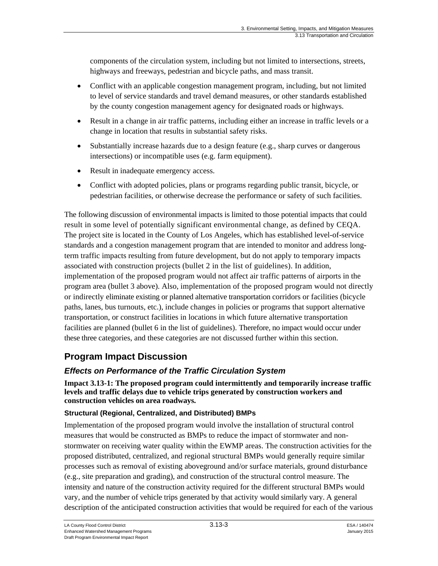components of the circulation system, including but not limited to intersections, streets, highways and freeways, pedestrian and bicycle paths, and mass transit.

- Conflict with an applicable congestion management program, including, but not limited to level of service standards and travel demand measures, or other standards established by the county congestion management agency for designated roads or highways.
- Result in a change in air traffic patterns, including either an increase in traffic levels or a change in location that results in substantial safety risks.
- Substantially increase hazards due to a design feature (e.g., sharp curves or dangerous intersections) or incompatible uses (e.g. farm equipment).
- Result in inadequate emergency access.
- Conflict with adopted policies, plans or programs regarding public transit, bicycle, or pedestrian facilities, or otherwise decrease the performance or safety of such facilities.

The following discussion of environmental impacts is limited to those potential impacts that could result in some level of potentially significant environmental change, as defined by CEQA. The project site is located in the County of Los Angeles, which has established level-of-service standards and a congestion management program that are intended to monitor and address longterm traffic impacts resulting from future development, but do not apply to temporary impacts associated with construction projects (bullet 2 in the list of guidelines). In addition, implementation of the proposed program would not affect air traffic patterns of airports in the program area (bullet 3 above). Also, implementation of the proposed program would not directly or indirectly eliminate existing or planned alternative transportation corridors or facilities (bicycle paths, lanes, bus turnouts, etc.), include changes in policies or programs that support alternative transportation, or construct facilities in locations in which future alternative transportation facilities are planned (bullet 6 in the list of guidelines). Therefore, no impact would occur under these three categories, and these categories are not discussed further within this section.

## **Program Impact Discussion**

### *Effects on Performance of the Traffic Circulation System*

**Impact 3.13-1: The proposed program could intermittently and temporarily increase traffic levels and traffic delays due to vehicle trips generated by construction workers and construction vehicles on area roadways.**

#### **Structural (Regional, Centralized, and Distributed) BMPs**

Implementation of the proposed program would involve the installation of structural control measures that would be constructed as BMPs to reduce the impact of stormwater and nonstormwater on receiving water quality within the EWMP areas. The construction activities for the proposed distributed, centralized, and regional structural BMPs would generally require similar processes such as removal of existing aboveground and/or surface materials, ground disturbance (e.g., site preparation and grading), and construction of the structural control measure. The intensity and nature of the construction activity required for the different structural BMPs would vary, and the number of vehicle trips generated by that activity would similarly vary. A general description of the anticipated construction activities that would be required for each of the various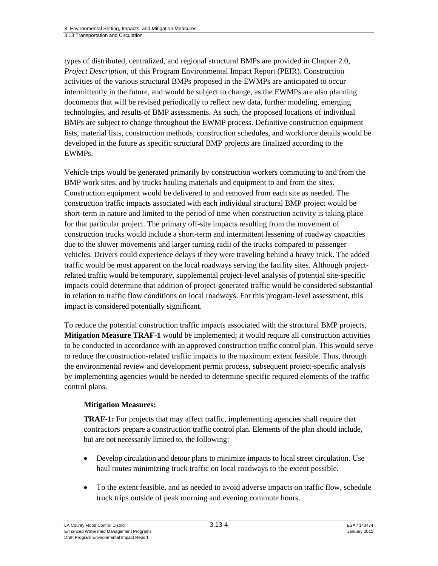types of distributed, centralized, and regional structural BMPs are provided in Chapter 2.0, *Project Description*, of this Program Environmental Impact Report (PEIR). Construction activities of the various structural BMPs proposed in the EWMPs are anticipated to occur intermittently in the future, and would be subject to change, as the EWMPs are also planning documents that will be revised periodically to reflect new data, further modeling, emerging technologies, and results of BMP assessments. As such, the proposed locations of individual BMPs are subject to change throughout the EWMP process. Definitive construction equipment lists, material lists, construction methods, construction schedules, and workforce details would be developed in the future as specific structural BMP projects are finalized according to the EWMPs.

Vehicle trips would be generated primarily by construction workers commuting to and from the BMP work sites, and by trucks hauling materials and equipment to and from the sites. Construction equipment would be delivered to and removed from each site as needed. The construction traffic impacts associated with each individual structural BMP project would be short-term in nature and limited to the period of time when construction activity is taking place for that particular project. The primary off-site impacts resulting from the movement of construction trucks would include a short-term and intermittent lessening of roadway capacities due to the slower movements and larger turning radii of the trucks compared to passenger vehicles. Drivers could experience delays if they were traveling behind a heavy truck. The added traffic would be most apparent on the local roadways serving the facility sites. Although projectrelated traffic would be temporary, supplemental project-level analysis of potential site-specific impacts could determine that addition of project-generated traffic would be considered substantial in relation to traffic flow conditions on local roadways. For this program-level assessment, this impact is considered potentially significant.

To reduce the potential construction traffic impacts associated with the structural BMP projects, **Mitigation Measure TRAF-1** would be implemented; it would require all construction activities to be conducted in accordance with an approved construction traffic control plan. This would serve to reduce the construction-related traffic impacts to the maximum extent feasible. Thus, through the environmental review and development permit process, subsequent project-specific analysis by implementing agencies would be needed to determine specific required elements of the traffic control plans.

#### **Mitigation Measures:**

**TRAF-1:** For projects that may affect traffic, implementing agencies shall require that contractors prepare a construction traffic control plan. Elements of the plan should include, but are not necessarily limited to, the following:

- Develop circulation and detour plans to minimize impacts to local street circulation. Use haul routes minimizing truck traffic on local roadways to the extent possible.
- To the extent feasible, and as needed to avoid adverse impacts on traffic flow, schedule truck trips outside of peak morning and evening commute hours.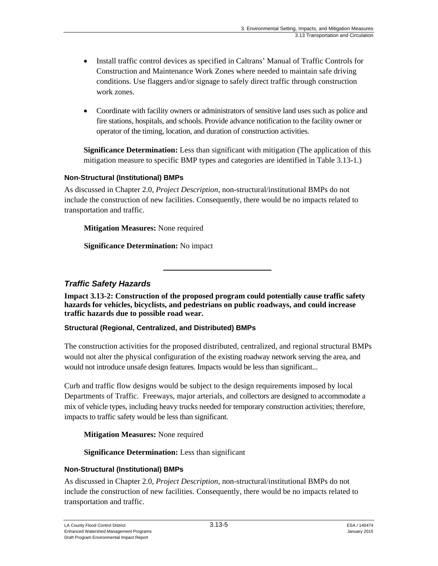- Install traffic control devices as specified in Caltrans' Manual of Traffic Controls for Construction and Maintenance Work Zones where needed to maintain safe driving conditions. Use flaggers and/or signage to safely direct traffic through construction work zones.
- Coordinate with facility owners or administrators of sensitive land uses such as police and fire stations, hospitals, and schools. Provide advance notification to the facility owner or operator of the timing, location, and duration of construction activities.

**Significance Determination:** Less than significant with mitigation (The application of this mitigation measure to specific BMP types and categories are identified in Table 3.13-1.)

#### **Non-Structural (Institutional) BMPs**

As discussed in Chapter 2.0, *Project Description*, non-structural/institutional BMPs do not include the construction of new facilities. Consequently, there would be no impacts related to transportation and traffic.

**Mitigation Measures:** None required

**Significance Determination:** No impact

#### *Traffic Safety Hazards*

**Impact 3.13-2: Construction of the proposed program could potentially cause traffic safety hazards for vehicles, bicyclists, and pedestrians on public roadways, and could increase traffic hazards due to possible road wear.** 

#### **Structural (Regional, Centralized, and Distributed) BMPs**

The construction activities for the proposed distributed, centralized, and regional structural BMPs would not alter the physical configuration of the existing roadway network serving the area, and would not introduce unsafe design features. Impacts would be less than significant...

Curb and traffic flow designs would be subject to the design requirements imposed by local Departments of Traffic. Freeways, major arterials, and collectors are designed to accommodate a mix of vehicle types, including heavy trucks needed for temporary construction activities; therefore, impacts to traffic safety would be less than significant.

#### **Mitigation Measures:** None required

**Significance Determination:** Less than significant

#### **Non-Structural (Institutional) BMPs**

As discussed in Chapter 2.0, *Project Description*, non-structural/institutional BMPs do not include the construction of new facilities. Consequently, there would be no impacts related to transportation and traffic.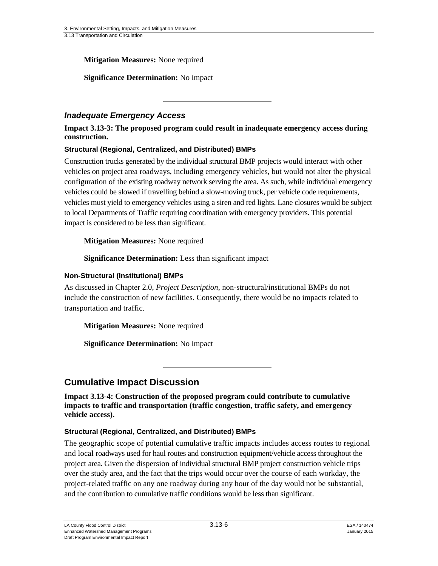**Mitigation Measures:** None required

**Significance Determination:** No impact

#### *Inadequate Emergency Access*

**Impact 3.13-3: The proposed program could result in inadequate emergency access during construction.** 

#### **Structural (Regional, Centralized, and Distributed) BMPs**

Construction trucks generated by the individual structural BMP projects would interact with other vehicles on project area roadways, including emergency vehicles, but would not alter the physical configuration of the existing roadway network serving the area. As such, while individual emergency vehicles could be slowed if travelling behind a slow-moving truck, per vehicle code requirements, vehicles must yield to emergency vehicles using a siren and red lights. Lane closures would be subject to local Departments of Traffic requiring coordination with emergency providers. This potential impact is considered to be less than significant.

#### **Mitigation Measures:** None required

**Significance Determination:** Less than significant impact

#### **Non-Structural (Institutional) BMPs**

As discussed in Chapter 2.0, *Project Description*, non-structural/institutional BMPs do not include the construction of new facilities. Consequently, there would be no impacts related to transportation and traffic.

**Mitigation Measures:** None required

**Significance Determination:** No impact

### **Cumulative Impact Discussion**

**Impact 3.13-4: Construction of the proposed program could contribute to cumulative impacts to traffic and transportation (traffic congestion, traffic safety, and emergency vehicle access).** 

#### **Structural (Regional, Centralized, and Distributed) BMPs**

The geographic scope of potential cumulative traffic impacts includes access routes to regional and local roadways used for haul routes and construction equipment/vehicle access throughout the project area. Given the dispersion of individual structural BMP project construction vehicle trips over the study area, and the fact that the trips would occur over the course of each workday, the project-related traffic on any one roadway during any hour of the day would not be substantial, and the contribution to cumulative traffic conditions would be less than significant.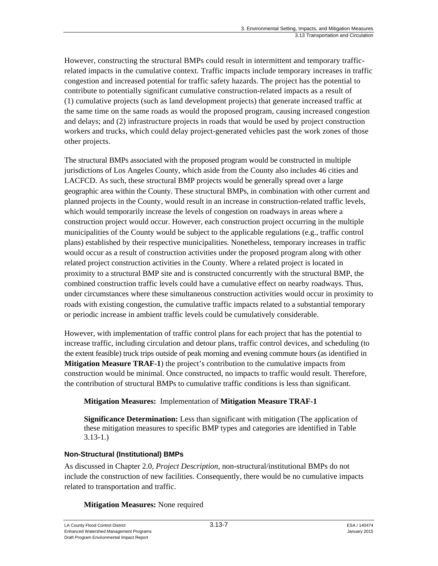However, constructing the structural BMPs could result in intermittent and temporary trafficrelated impacts in the cumulative context. Traffic impacts include temporary increases in traffic congestion and increased potential for traffic safety hazards. The project has the potential to contribute to potentially significant cumulative construction-related impacts as a result of (1) cumulative projects (such as land development projects) that generate increased traffic at the same time on the same roads as would the proposed program, causing increased congestion and delays; and (2) infrastructure projects in roads that would be used by project construction workers and trucks, which could delay project-generated vehicles past the work zones of those other projects.

The structural BMPs associated with the proposed program would be constructed in multiple jurisdictions of Los Angeles County, which aside from the County also includes 46 cities and LACFCD. As such, these structural BMP projects would be generally spread over a large geographic area within the County. These structural BMPs, in combination with other current and planned projects in the County, would result in an increase in construction-related traffic levels, which would temporarily increase the levels of congestion on roadways in areas where a construction project would occur. However, each construction project occurring in the multiple municipalities of the County would be subject to the applicable regulations (e.g., traffic control plans) established by their respective municipalities. Nonetheless, temporary increases in traffic would occur as a result of construction activities under the proposed program along with other related project construction activities in the County. Where a related project is located in proximity to a structural BMP site and is constructed concurrently with the structural BMP, the combined construction traffic levels could have a cumulative effect on nearby roadways. Thus, under circumstances where these simultaneous construction activities would occur in proximity to roads with existing congestion, the cumulative traffic impacts related to a substantial temporary or periodic increase in ambient traffic levels could be cumulatively considerable.

However, with implementation of traffic control plans for each project that has the potential to increase traffic, including circulation and detour plans, traffic control devices, and scheduling (to the extent feasible) truck trips outside of peak morning and evening commute hours (as identified in **Mitigation Measure TRAF-1**) the project's contribution to the cumulative impacts from construction would be minimal. Once constructed, no impacts to traffic would result. Therefore, the contribution of structural BMPs to cumulative traffic conditions is less than significant.

#### **Mitigation Measures:** Implementation of **Mitigation Measure TRAF-1**

**Significance Determination:** Less than significant with mitigation (The application of these mitigation measures to specific BMP types and categories are identified in Table 3.13-1.)

#### **Non-Structural (Institutional) BMPs**

As discussed in Chapter 2.0, *Project Description*, non-structural/institutional BMPs do not include the construction of new facilities. Consequently, there would be no cumulative impacts related to transportation and traffic.

#### **Mitigation Measures:** None required